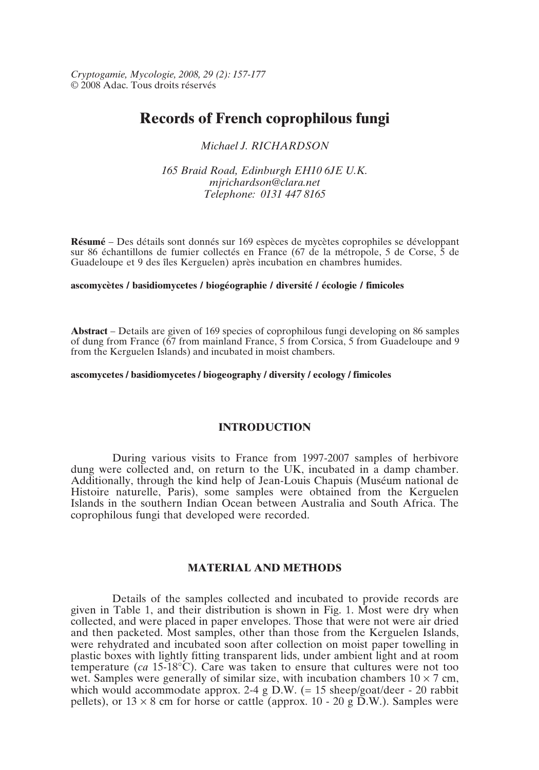*Cryptogamie, Mycologie, 2008, 29 (2): 157-177* © 2008 Adac. Tous droits réservés

# **Records of French coprophilous fungi**

*Michael J. RICHARDSON*

*165 Braid Road, Edinburgh EH10 6JE U.K. mjrichardson@clara.net Telephone: 0131 447 8165*

**Résumé** – Des détails sont donnés sur 169 espèces de mycètes coprophiles se développant sur 86 échantillons de fumier collectés en France (67 de la métropole, 5 de Corse, 5 de Guadeloupe et 9 des îles Kerguelen) après incubation en chambres humides.

#### **ascomycètes / basidiomycetes / biogéographie / diversité / écologie / fimicoles**

**Abstract** – Details are given of 169 species of coprophilous fungi developing on 86 samples of dung from France (67 from mainland France, 5 from Corsica, 5 from Guadeloupe and 9 from the Kerguelen Islands) and incubated in moist chambers.

# **ascomycetes / basidiomycetes / biogeography / diversity / ecology / fimicoles**

# **INTRODUCTION**

During various visits to France from 1997-2007 samples of herbivore dung were collected and, on return to the UK, incubated in a damp chamber. Additionally, through the kind help of Jean-Louis Chapuis (Muséum national de Histoire naturelle, Paris), some samples were obtained from the Kerguelen Islands in the southern Indian Ocean between Australia and South Africa. The coprophilous fungi that developed were recorded.

# **MATERIAL AND METHODS**

Details of the samples collected and incubated to provide records are given in Table 1, and their distribution is shown in Fig. 1. Most were dry when collected, and were placed in paper envelopes. Those that were not were air dried and then packeted. Most samples, other than those from the Kerguelen Islands, were rehydrated and incubated soon after collection on moist paper towelling in plastic boxes with lightly fitting transparent lids, under ambient light and at room temperature (*ca* 15-18°C). Care was taken to ensure that cultures were not too wet. Samples were generally of similar size, with incubation chambers  $10 \times 7$  cm, which would accommodate approx. 2-4 g D.W.  $(= 15 \text{ sheep/goat/deer} - 20 \text{ rabbit}$ pellets), or  $13 \times 8$  cm for horse or cattle (approx. 10 - 20 g D.W.). Samples were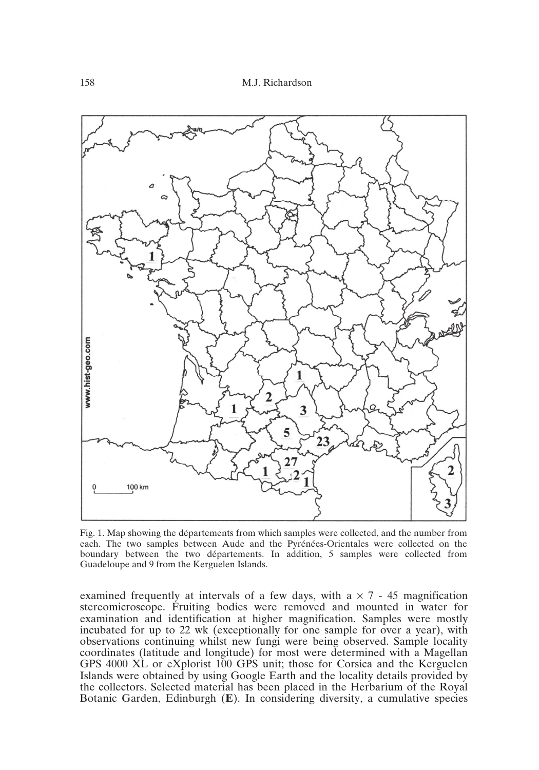

Fig. 1. Map showing the départements from which samples were collected, and the number from each. The two samples between Aude and the Pyrénées-Orientales were collected on the boundary between the two départements. In addition, 5 samples were collected from Guadeloupe and 9 from the Kerguelen Islands.

examined frequently at intervals of a few days, with  $a \times 7 - 45$  magnification stereomicroscope. Fruiting bodies were removed and mounted in water for examination and identification at higher magnification. Samples were mostly incubated for up to 22 wk (exceptionally for one sample for over a year), with observations continuing whilst new fungi were being observed. Sample locality coordinates (latitude and longitude) for most were determined with a Magellan GPS 4000 XL or eXplorist 100 GPS unit; those for Corsica and the Kerguelen Islands were obtained by using Google Earth and the locality details provided by the collectors. Selected material has been placed in the Herbarium of the Royal Botanic Garden, Edinburgh (**E**). In considering diversity, a cumulative species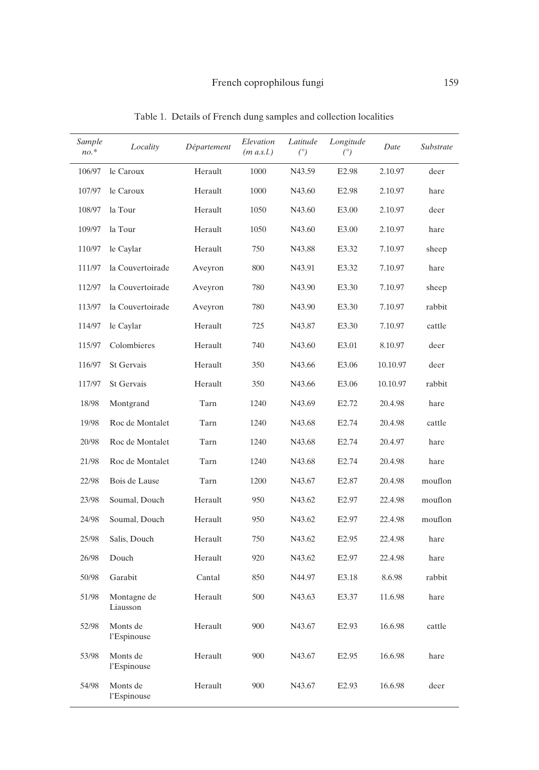| Sample<br>$no.*$ | Locality                | Département | Elevation<br>$(m \, a.s. l.)$ | Latitude<br>$(^\circ)$ | Longitude<br>(°)  | Date     | Substrate |
|------------------|-------------------------|-------------|-------------------------------|------------------------|-------------------|----------|-----------|
| 106/97           | le Caroux               | Herault     | 1000                          | N43.59                 | E <sub>2.98</sub> | 2.10.97  | deer      |
| 107/97           | le Caroux               | Herault     | 1000                          | N43.60                 | E2.98             | 2.10.97  | hare      |
| 108/97           | la Tour                 | Herault     | 1050                          | N43.60                 | E3.00             | 2.10.97  | deer      |
| 109/97           | la Tour                 | Herault     | 1050                          | N43.60                 | E3.00             | 2.10.97  | hare      |
| 110/97           | le Caylar               | Herault     | 750                           | N43.88                 | E3.32             | 7.10.97  | sheep     |
| 111/97           | la Couvertoirade        | Aveyron     | 800                           | N43.91                 | E3.32             | 7.10.97  | hare      |
| 112/97           | la Couvertoirade        | Aveyron     | 780                           | N43.90                 | E3.30             | 7.10.97  | sheep     |
| 113/97           | la Couvertoirade        | Aveyron     | 780                           | N43.90                 | E3.30             | 7.10.97  | rabbit    |
| 114/97           | le Caylar               | Herault     | 725                           | N43.87                 | E3.30             | 7.10.97  | cattle    |
| 115/97           | Colombieres             | Herault     | 740                           | N43.60                 | E3.01             | 8.10.97  | deer      |
| 116/97           | St Gervais              | Herault     | 350                           | N43.66                 | E3.06             | 10.10.97 | deer      |
| 117/97           | St Gervais              | Herault     | 350                           | N43.66                 | E3.06             | 10.10.97 | rabbit    |
| 18/98            | Montgrand               | Tarn        | 1240                          | N43.69                 | E <sub>2.72</sub> | 20.4.98  | hare      |
| 19/98            | Roc de Montalet         | Tarn        | 1240                          | N43.68                 | E <sub>2.74</sub> | 20.4.98  | cattle    |
| 20/98            | Roc de Montalet         | Tarn        | 1240                          | N43.68                 | E <sub>2.74</sub> | 20.4.97  | hare      |
| 21/98            | Roc de Montalet         | Tarn        | 1240                          | N43.68                 | E <sub>2.74</sub> | 20.4.98  | hare      |
| 22/98            | Bois de Lause           | Tarn        | 1200                          | N43.67                 | E2.87             | 20.4.98  | mouflon   |
| 23/98            | Soumal, Douch           | Herault     | 950                           | N43.62                 | E <sub>2.97</sub> | 22.4.98  | mouflon   |
| 24/98            | Soumal, Douch           | Herault     | 950                           | N43.62                 | E <sub>2.97</sub> | 22.4.98  | mouflon   |
| 25/98            | Salis, Douch            | Herault     | 750                           | N43.62                 | E <sub>2.95</sub> | 22.4.98  | hare      |
| 26/98            | Douch                   | Herault     | 920                           | N43.62                 | E <sub>2.97</sub> | 22.4.98  | hare      |
| 50/98            | Garabit                 | Cantal      | 850                           | N44.97                 | E3.18             | 8.6.98   | rabbit    |
| 51/98            | Montagne de<br>Liausson | Herault     | 500                           | N43.63                 | E3.37             | 11.6.98  | hare      |
| 52/98            | Monts de<br>l'Espinouse | Herault     | 900                           | N43.67                 | E <sub>2.93</sub> | 16.6.98  | cattle    |
| 53/98            | Monts de<br>l'Espinouse | Herault     | 900                           | N43.67                 | E <sub>2.95</sub> | 16.6.98  | hare      |
| 54/98            | Monts de<br>l'Espinouse | Herault     | 900                           | N43.67                 | E2.93             | 16.6.98  | deer      |

Table 1. Details of French dung samples and collection localities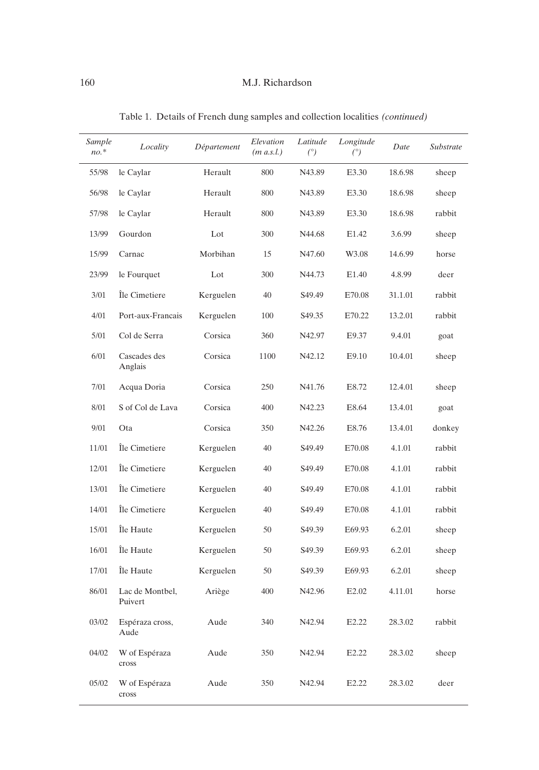| Sample<br>$no.*$ | Locality                   | Département | Elevation<br>$(m \, a.s. l.)$ | Latitude<br>(°) | Longitude<br>(°)  | Date    | Substrate |
|------------------|----------------------------|-------------|-------------------------------|-----------------|-------------------|---------|-----------|
| 55/98            | le Caylar                  | Herault     | 800                           | N43.89          | E3.30             | 18.6.98 | sheep     |
| 56/98            | le Caylar                  | Herault     | 800                           | N43.89          | E3.30             | 18.6.98 | sheep     |
| 57/98            | le Caylar                  | Herault     | 800                           | N43.89          | E3.30             | 18.6.98 | rabbit    |
| 13/99            | Gourdon                    | Lot         | 300                           | N44.68          | E1.42             | 3.6.99  | sheep     |
| 15/99            | Carnac                     | Morbihan    | 15                            | N47.60          | W3.08             | 14.6.99 | horse     |
| 23/99            | le Fourquet                | Lot         | 300                           | N44.73          | E <sub>1.40</sub> | 4.8.99  | deer      |
| 3/01             | Île Cimetiere              | Kerguelen   | 40                            | S49.49          | E70.08            | 31.1.01 | rabbit    |
| 4/01             | Port-aux-Francais          | Kerguelen   | 100                           | S49.35          | E70.22            | 13.2.01 | rabbit    |
| 5/01             | Col de Serra               | Corsica     | 360                           | N42.97          | E9.37             | 9.4.01  | goat      |
| 6/01             | Cascades des<br>Anglais    | Corsica     | 1100                          | N42.12          | E9.10             | 10.4.01 | sheep     |
| 7/01             | Acqua Doria                | Corsica     | 250                           | N41.76          | E8.72             | 12.4.01 | sheep     |
| 8/01             | S of Col de Lava           | Corsica     | 400                           | N42.23          | E8.64             | 13.4.01 | goat      |
| 9/01             | Ota                        | Corsica     | 350                           | N42.26          | E8.76             | 13.4.01 | donkey    |
| 11/01            | Île Cimetiere              | Kerguelen   | 40                            | S49.49          | E70.08            | 4.1.01  | rabbit    |
| 12/01            | Île Cimetiere              | Kerguelen   | 40                            | S49.49          | E70.08            | 4.1.01  | rabbit    |
| 13/01            | Île Cimetiere              | Kerguelen   | 40                            | S49.49          | E70.08            | 4.1.01  | rabbit    |
| 14/01            | Île Cimetiere              | Kerguelen   | 40                            | S49.49          | E70.08            | 4.1.01  | rabbit    |
| 15/01            | Île Haute                  | Kerguelen   | 50                            | S49.39          | E69.93            | 6.2.01  | sheep     |
| 16/01            | Île Haute                  | Kerguelen   | 50                            | S49.39          | E69.93            | 6.2.01  | sheep     |
| 17/01            | Île Haute                  | Kerguelen   | 50                            | S49.39          | E69.93            | 6.2.01  | sheep     |
| 86/01            | Lac de Montbel,<br>Puivert | Ariège      | 400                           | N42.96          | E <sub>2.02</sub> | 4.11.01 | horse     |
| 03/02            | Espéraza cross,<br>Aude    | Aude        | 340                           | N42.94          | E <sub>2.22</sub> | 28.3.02 | rabbit    |
| 04/02            | W of Espéraza<br>cross     | Aude        | 350                           | N42.94          | E2.22             | 28.3.02 | sheep     |
| 05/02            | W of Espéraza<br>$\csc$    | Aude        | 350                           | N42.94          | E2.22             | 28.3.02 | deer      |

Table 1. Details of French dung samples and collection localities *(continued)*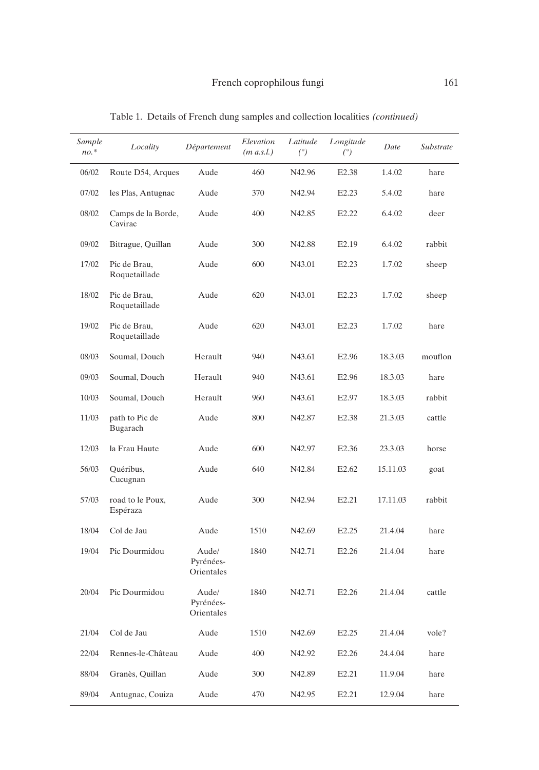| Sample<br>$no.*$ | Locality                      | Département                      | Elevation<br>$(m \, a.s. l.)$ | Latitude<br>(°) | Longitude<br>(°)  | Date     | Substrate |
|------------------|-------------------------------|----------------------------------|-------------------------------|-----------------|-------------------|----------|-----------|
| 06/02            | Route D54, Arques             | Aude                             | 460                           | N42.96          | E <sub>2.38</sub> | 1.4.02   | hare      |
| 07/02            | les Plas, Antugnac            | Aude                             | 370                           | N42.94          | E <sub>2.23</sub> | 5.4.02   | hare      |
| 08/02            | Camps de la Borde,<br>Cavirac | Aude                             | 400                           | N42.85          | E2.22             | 6.4.02   | deer      |
| 09/02            | Bitrague, Quillan             | Aude                             | 300                           | N42.88          | E <sub>2.19</sub> | 6.4.02   | rabbit    |
| 17/02            | Pic de Brau,<br>Roquetaillade | Aude                             | 600                           | N43.01          | E <sub>2.23</sub> | 1.7.02   | sheep     |
| 18/02            | Pic de Brau,<br>Roquetaillade | Aude                             | 620                           | N43.01          | E <sub>2.23</sub> | 1.7.02   | sheep     |
| 19/02            | Pic de Brau,<br>Roquetaillade | Aude                             | 620                           | N43.01          | E <sub>2.23</sub> | 1.7.02   | hare      |
| 08/03            | Soumal, Douch                 | Herault                          | 940                           | N43.61          | E <sub>2.96</sub> | 18.3.03  | mouflon   |
| 09/03            | Soumal, Douch                 | Herault                          | 940                           | N43.61          | E2.96             | 18.3.03  | hare      |
| 10/03            | Soumal, Douch                 | Herault                          | 960                           | N43.61          | E <sub>2.97</sub> | 18.3.03  | rabbit    |
| 11/03            | path to Pic de<br>Bugarach    | Aude                             | 800                           | N42.87          | E <sub>2.38</sub> | 21.3.03  | cattle    |
| 12/03            | la Frau Haute                 | Aude                             | 600                           | N42.97          | E <sub>2.36</sub> | 23.3.03  | horse     |
| 56/03            | Quéribus,<br>Cucugnan         | Aude                             | 640                           | N42.84          | E <sub>2.62</sub> | 15.11.03 | goat      |
| 57/03            | road to le Poux,<br>Espéraza  | Aude                             | 300                           | N42.94          | E2.21             | 17.11.03 | rabbit    |
| 18/04            | Col de Jau                    | Aude                             | 1510                          | N42.69          | E <sub>2.25</sub> | 21.4.04  | hare      |
| 19/04            | Pic Dourmidou                 | Aude/<br>Pyrénées-<br>Orientales | 1840                          | N42.71          | E <sub>2.26</sub> | 21.4.04  | hare      |
| 20/04            | Pic Dourmidou                 | Aude/<br>Pyrénées-<br>Orientales | 1840                          | N42.71          | E2.26             | 21.4.04  | cattle    |
| 21/04            | Col de Jau                    | Aude                             | 1510                          | N42.69          | E <sub>2.25</sub> | 21.4.04  | vole?     |
| 22/04            | Rennes-le-Château             | Aude                             | 400                           | N42.92          | E <sub>2.26</sub> | 24.4.04  | hare      |
| 88/04            | Granès, Quillan               | Aude                             | 300                           | N42.89          | E <sub>2.21</sub> | 11.9.04  | hare      |
| 89/04            | Antugnac, Couiza              | Aude                             | 470                           | N42.95          | E <sub>2.21</sub> | 12.9.04  | hare      |

Table 1. Details of French dung samples and collection localities *(continued)*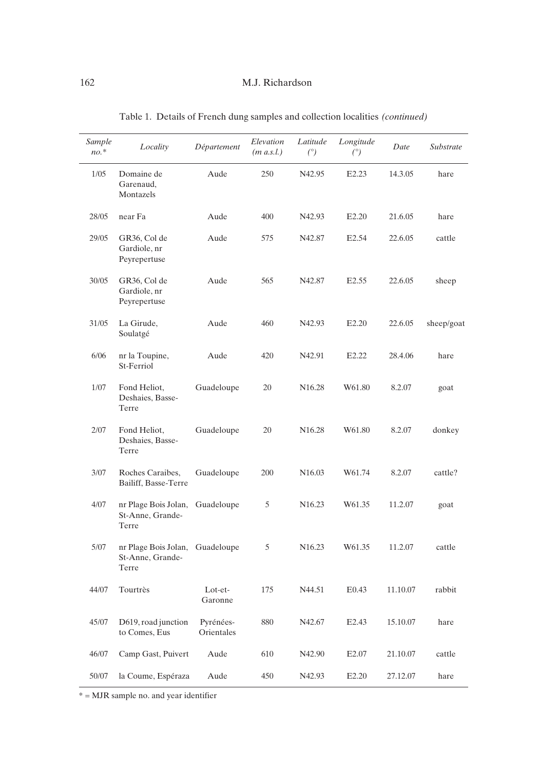| Sample<br>$no.*$ | Locality                                          | Département             | Elevation<br>$(m \, a.s. l.)$ | Latitude<br>(°)    | Longitude<br>(°)  | Date     | Substrate  |
|------------------|---------------------------------------------------|-------------------------|-------------------------------|--------------------|-------------------|----------|------------|
| 1/05             | Domaine de<br>Garenaud,<br>Montazels              | Aude                    | 250                           | N42.95             | E <sub>2.23</sub> | 14.3.05  | hare       |
| 28/05            | near Fa                                           | Aude                    | 400                           | N42.93             | E <sub>2.20</sub> | 21.6.05  | hare       |
| 29/05            | GR36, Col de<br>Gardiole, nr<br>Peyrepertuse      | Aude                    | 575                           | N42.87             | E <sub>2.54</sub> | 22.6.05  | cattle     |
| 30/05            | GR36, Col de<br>Gardiole, nr<br>Peyrepertuse      | Aude                    | 565                           | N42.87             | E <sub>2.55</sub> | 22.6.05  | sheep      |
| 31/05            | La Girude,<br>Soulatgé                            | Aude                    | 460                           | N42.93             | E <sub>2.20</sub> | 22.6.05  | sheep/goat |
| 6/06             | nr la Toupine,<br>St-Ferriol                      | Aude                    | 420                           | N42.91             | E <sub>2.22</sub> | 28.4.06  | hare       |
| 1/07             | Fond Heliot,<br>Deshaies, Basse-<br>Terre         | Guadeloupe              | 20                            | N <sub>16.28</sub> | W61.80            | 8.2.07   | goat       |
| 2/07             | Fond Heliot,<br>Deshaies, Basse-<br>Terre         | Guadeloupe              | 20                            | N <sub>16.28</sub> | W61.80            | 8.2.07   | donkey     |
| 3/07             | Roches Caraibes,<br>Bailiff, Basse-Terre          | Guadeloupe              | 200                           | N <sub>16.03</sub> | W61.74            | 8.2.07   | cattle?    |
| 4/07             | nr Plage Bois Jolan,<br>St-Anne, Grande-<br>Terre | Guadeloupe              | 5                             | N <sub>16.23</sub> | W61.35            | 11.2.07  | goat       |
| 5/07             | nr Plage Bois Jolan,<br>St-Anne, Grande-<br>Terre | Guadeloupe              | 5                             | N <sub>16.23</sub> | W61.35            | 11.2.07  | cattle     |
| 44/07            | Tourtrès                                          | Lot-et-<br>Garonne      | 175                           | N44.51             | E0.43             | 11.10.07 | rabbit     |
| 45/07            | D619, road junction<br>to Comes, Eus              | Pyrénées-<br>Orientales | 880                           | N42.67             | E <sub>2.43</sub> | 15.10.07 | hare       |
| 46/07            | Camp Gast, Puivert                                | Aude                    | 610                           | N42.90             | E <sub>2.07</sub> | 21.10.07 | cattle     |
| 50/07            | la Coume, Espéraza                                | Aude                    | 450                           | N42.93             | E <sub>2.20</sub> | 27.12.07 | hare       |

Table 1. Details of French dung samples and collection localities *(continued)*

\* = MJR sample no. and year identifier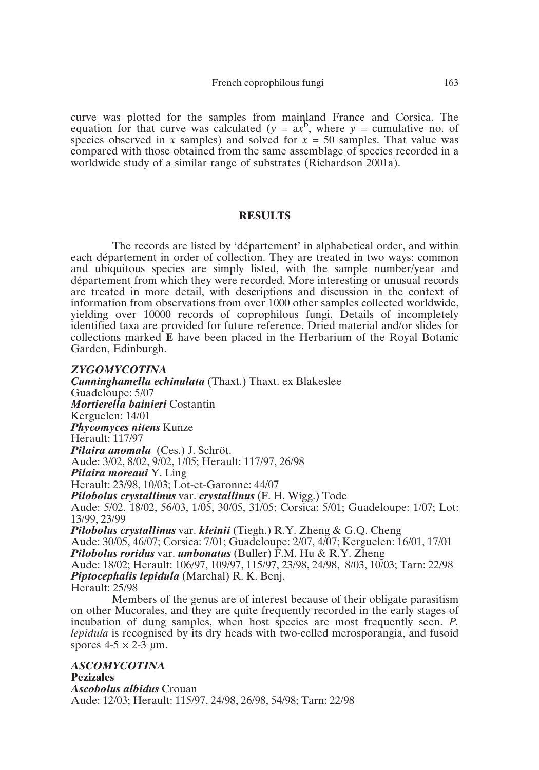curve was plotted for the samples from mainland France and Corsica. The equation for that curve was calculated ( $y = ax^b$ , where  $y =$  cumulative no. of species observed in *x* samples) and solved for *x* = 50 samples. That value was compared with those obtained from the same assemblage of species recorded in a worldwide study of a similar range of substrates (Richardson 2001a).

# **RESULTS**

The records are listed by 'département' in alphabetical order, and within each département in order of collection. They are treated in two ways; common and ubiquitous species are simply listed, with the sample number/year and département from which they were recorded. More interesting or unusual records are treated in more detail, with descriptions and discussion in the context of information from observations from over 1000 other samples collected worldwide, yielding over 10000 records of coprophilous fungi. Details of incompletely identified taxa are provided for future reference. Dried material and/or slides for collections marked **E** have been placed in the Herbarium of the Royal Botanic Garden, Edinburgh.

*ZYGOMYCOTINA Cunninghamella echinulata* (Thaxt.) Thaxt. ex Blakeslee Guadeloupe: 5/07 *Mortierella bainieri* Costantin Kerguelen: 14/01 *Phycomyces nitens* Kunze Herault: 117/97 *Pilaira anomala* (Ces.) J. Schröt. Aude: 3/02, 8/02, 9/02, 1/05; Herault: 117/97, 26/98 *Pilaira moreaui* Y. Ling Herault: 23/98, 10/03; Lot-et-Garonne: 44/07 *Pilobolus crystallinus* var. *crystallinus* (F. H. Wigg.) Tode Aude: 5/02, 18/02, 56/03, 1/05, 30/05, 31/05; Corsica: 5/01; Guadeloupe: 1/07; Lot: 13/99, 23/99 *Pilobolus crystallinus* var. *kleinii* (Tiegh.) R.Y. Zheng & G.Q. Cheng Aude: 30/05, 46/07; Corsica: 7/01; Guadeloupe: 2/07, 4/07; Kerguelen: 16/01, 17/01 *Pilobolus roridus* var. *umbonatus* (Buller) F.M. Hu & R.Y. Zheng Aude: 18/02; Herault: 106/97, 109/97, 115/97, 23/98, 24/98, 8/03, 10/03; Tarn: 22/98 *Piptocephalis lepidula* (Marchal) R. K. Benj. Herault: 25/98

Members of the genus are of interest because of their obligate parasitism on other Mucorales, and they are quite frequently recorded in the early stages of incubation of dung samples, when host species are most frequently seen. *P. lepidula* is recognised by its dry heads with two-celled merosporangia, and fusoid spores  $4-5 \times 2-3$  µm.

*ASCOMYCOTINA* **Pezizales** *Ascobolus albidus* Crouan Aude: 12/03; Herault: 115/97, 24/98, 26/98, 54/98; Tarn: 22/98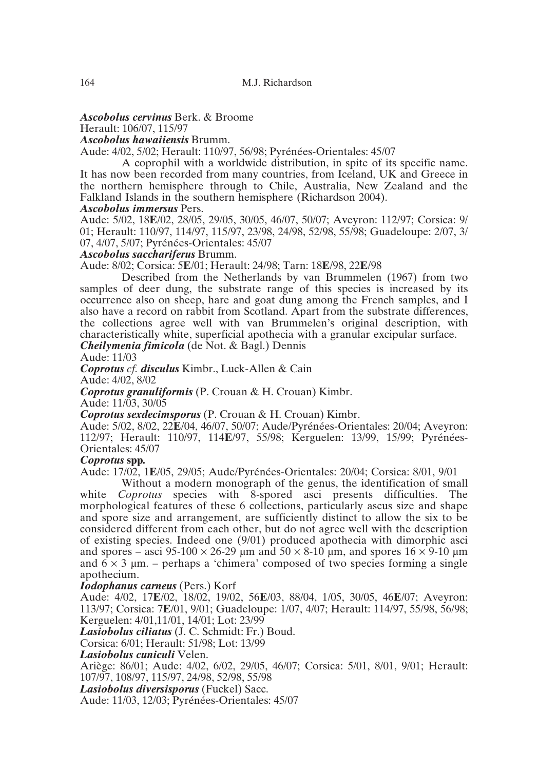# *Ascobolus cervinus* Berk. & Broome

Herault: 106/07, 115/97

*Ascobolus hawaiiensis* Brumm.

Aude: 4/02, 5/02; Herault: 110/97, 56/98; Pyrénées-Orientales: 45/07

A coprophil with a worldwide distribution, in spite of its specific name. It has now been recorded from many countries, from Iceland, UK and Greece in the northern hemisphere through to Chile, Australia, New Zealand and the Falkland Islands in the southern hemisphere (Richardson 2004).

# *Ascobolus immersus* Pers.

Aude: 5/02, 18**E**/02, 28/05, 29/05, 30/05, 46/07, 50/07; Aveyron: 112/97; Corsica: 9/ 01; Herault: 110/97, 114/97, 115/97, 23/98, 24/98, 52/98, 55/98; Guadeloupe: 2/07, 3/ 07, 4/07, 5/07; Pyrénées-Orientales: 45/07

# *Ascobolus sacchariferus* Brumm.

Aude: 8/02; Corsica: 5**E**/01; Herault: 24/98; Tarn: 18**E**/98, 22**E**/98

Described from the Netherlands by van Brummelen (1967) from two samples of deer dung, the substrate range of this species is increased by its occurrence also on sheep, hare and goat dung among the French samples, and I also have a record on rabbit from Scotland. Apart from the substrate differences, the collections agree well with van Brummelen's original description, with characteristically white, superficial apothecia with a granular excipular surface. *Cheilymenia fimicola* (de Not. & Bagl.) Dennis

Aude: 11/03

*Coprotus cf. disculus* Kimbr., Luck-Allen & Cain

Aude: 4/02, 8/02

*Coprotus granuliformis* (P. Crouan & H. Crouan) Kimbr.

Aude: 11/03, 30/05

*Coprotus sexdecimsporus* (P. Crouan & H. Crouan) Kimbr.

Aude: 5/02, 8/02, 22**E**/04, 46/07, 50/07; Aude/Pyrénées-Orientales: 20/04; Aveyron: 112/97; Herault: 110/97, 114**E**/97, 55/98; Kerguelen: 13/99, 15/99; Pyrénées-Orientales: 45/07

# *Coprotus* **spp***.*

Aude: 17/02, 1**E**/05, 29/05; Aude/Pyrénées-Orientales: 20/04; Corsica: 8/01, 9/01

Without a modern monograph of the genus, the identification of small white *Coprotus* species with 8-spored asci presents difficulties. The morphological features of these 6 collections, particularly ascus size and shape and spore size and arrangement, are sufficiently distinct to allow the six to be considered different from each other, but do not agree well with the description of existing species. Indeed one (9/01) produced apothecia with dimorphic asci and spores – asci 95-100  $\times$  26-29 µm and 50  $\times$  8-10 µm, and spores 16  $\times$  9-10 µm and  $6 \times 3$  µm. – perhaps a 'chimera' composed of two species forming a single apothecium.

# *Iodophanus carneus* (Pers.) Korf

Aude: 4/02, 17**E**/02, 18/02, 19/02, 56**E**/03, 88/04, 1/05, 30/05, 46**E**/07; Aveyron: 113/97; Corsica: 7**E**/01, 9/01; Guadeloupe: 1/07, 4/07; Herault: 114/97, 55/98, 56/98; Kerguelen: 4/01,11/01, 14/01; Lot: 23/99

*Lasiobolus ciliatus* (J. C. Schmidt: Fr.) Boud.

Corsica: 6/01; Herault: 51/98; Lot: 13/99

# *Lasiobolus cuniculi* Velen.

Ariège: 86/01; Aude: 4/02, 6/02, 29/05, 46/07; Corsica: 5/01, 8/01, 9/01; Herault: 107/97, 108/97, 115/97, 24/98, 52/98, 55/98

*Lasiobolus diversisporus* (Fuckel) Sacc.

Aude: 11/03, 12/03; Pyrénées-Orientales: 45/07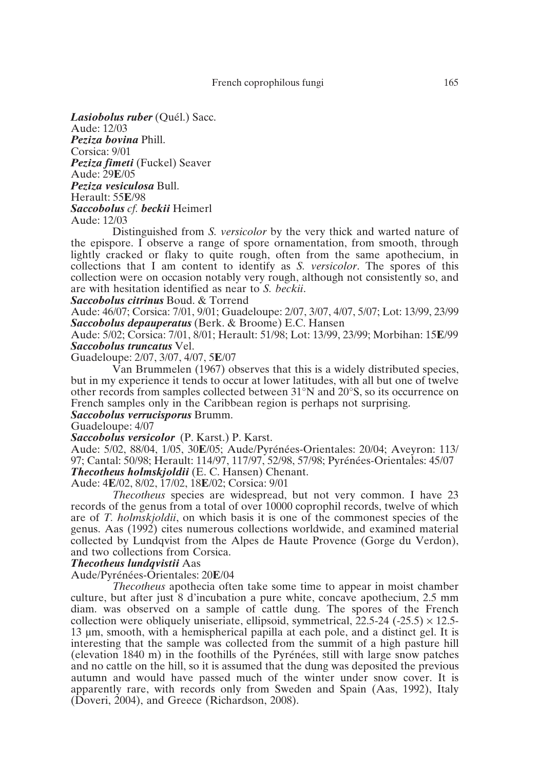*Lasiobolus ruber* (Quél.) Sacc.

Aude: 12/03 *Peziza bovina* Phill. Corsica: 9/01 *Peziza fimeti* (Fuckel) Seaver Aude: 29**E**/05 *Peziza vesiculosa* Bull. Herault: 55**E**/98 *Saccobolus cf. beckii* Heimerl Aude: 12/03

Distinguished from *S. versicolor* by the very thick and warted nature of the epispore. I observe a range of spore ornamentation, from smooth, through lightly cracked or flaky to quite rough, often from the same apothecium, in collections that I am content to identify as *S. versicolor*. The spores of this collection were on occasion notably very rough, although not consistently so, and are with hesitation identified as near to *S. beckii*.

*Saccobolus citrinus* Boud. & Torrend

Aude: 46/07; Corsica: 7/01, 9/01; Guadeloupe: 2/07, 3/07, 4/07, 5/07; Lot: 13/99, 23/99 *Saccobolus depauperatus* (Berk. & Broome) E.C. Hansen

Aude: 5/02; Corsica: 7/01, 8/01; Herault: 51/98; Lot: 13/99, 23/99; Morbihan: 15**E**/99 *Saccobolus truncatus* Vel.

Guadeloupe: 2/07, 3/07, 4/07, 5**E**/07

Van Brummelen (1967) observes that this is a widely distributed species, but in my experience it tends to occur at lower latitudes, with all but one of twelve other records from samples collected between 31°N and 20°S, so its occurrence on French samples only in the Caribbean region is perhaps not surprising.

*Saccobolus verrucisporus* Brumm.

Guadeloupe: 4/07

*Saccobolus versicolor* (P. Karst.) P. Karst.

Aude: 5/02, 88/04, 1/05, 30**E**/05; Aude/Pyrénées-Orientales: 20/04; Aveyron: 113/ 97; Cantal: 50/98; Herault: 114/97, 117/97, 52/98, 57/98; Pyrénées-Orientales: 45/07 *Thecotheus holmskjoldii* (E. C. Hansen) Chenant.

Aude: 4**E**/02, 8/02, 17/02, 18**E**/02; Corsica: 9/01

*Thecotheus* species are widespread, but not very common. I have 23 records of the genus from a total of over 10000 coprophil records, twelve of which are of *T. holmskjoldii*, on which basis it is one of the commonest species of the genus. Aas (1992) cites numerous collections worldwide, and examined material collected by Lundqvist from the Alpes de Haute Provence (Gorge du Verdon), and two collections from Corsica.

# *Thecotheus lundqvistii* Aas

Aude/Pyrénées-Orientales: 20**E**/04

*Thecotheus* apothecia often take some time to appear in moist chamber culture, but after just 8 d'incubation a pure white, concave apothecium, 2.5 mm diam. was observed on a sample of cattle dung. The spores of the French collection were obliquely uniseriate, ellipsoid, symmetrical,  $22.5-24$  ( $-25.5$ )  $\times$  12.5-13 µm, smooth, with a hemispherical papilla at each pole, and a distinct gel. It is interesting that the sample was collected from the summit of a high pasture hill (elevation 1840 m) in the foothills of the Pyrénées, still with large snow patches and no cattle on the hill, so it is assumed that the dung was deposited the previous autumn and would have passed much of the winter under snow cover. It is apparently rare, with records only from Sweden and Spain (Aas, 1992), Italy (Doveri, 2004), and Greece (Richardson, 2008).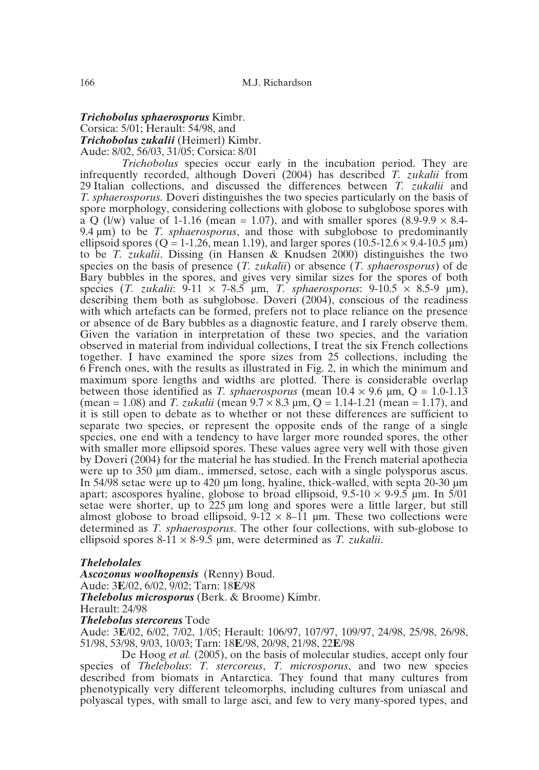# *Trichobolus sphaerosporus* Kimbr. Corsica: 5/01; Herault: 54/98, and *Trichobolus zukalii* (Heimerl) Kimbr. Aude: 8/02, 56/03, 31/05; Corsica: 8/01

*Trichobolus* species occur early in the incubation period. They are infrequently recorded, although Doveri (2004) has described *T. zukalii* from 29 Italian collections, and discussed the differences between *T. zukalii* and *T. sphaerosporus.* Doveri distinguishes the two species particularly on the basis of spore morphology, considering collections with globose to subglobose spores with a Q (l/w) value of 1-1.16 (mean = 1.07), and with smaller spores (8.9-9.9  $\times$  8.4-9.4 µm) to be *T. sphaerosporus*, and those with subglobose to predominantly ellipsoid spores ( $Q = 1-1.26$ , mean 1.19), and larger spores (10.5-12.6  $\times$  9.4-10.5  $\mu$ m) to be *T. zukalii*. Dissing (in Hansen & Knudsen 2000) distinguishes the two species on the basis of presence (*T. zukalii*) or absence (*T. sphaerosporus*) of de Bary bubbles in the spores, and gives very similar sizes for the spores of both species (*T. zukalii:*  $9-11 \times 7-8.5$  µm, *T. sphaerosporus*:  $9-10.5 \times 8.5-9$  µm), describing them both as subglobose. Doveri (2004), conscious of the readiness with which artefacts can be formed, prefers not to place reliance on the presence or absence of de Bary bubbles as a diagnostic feature, and I rarely observe them. Given the variation in interpretation of these two species, and the variation observed in material from individual collections, I treat the six French collections together. I have examined the spore sizes from 25 collections, including the 6 French ones, with the results as illustrated in Fig. 2, in which the minimum and maximum spore lengths and widths are plotted. There is considerable overlap between those identified as *T. sphaerosporus* (mean  $10.4 \times 9.6 \mu m$ , Q = 1.0-1.13 (mean = 1.08) and *T. zukalii* (mean  $9.7 \times 8.3$  µm, O = 1.14-1.21 (mean = 1.17), and it is still open to debate as to whether or not these differences are sufficient to separate two species, or represent the opposite ends of the range of a single species, one end with a tendency to have larger more rounded spores, the other with smaller more ellipsoid spores. These values agree very well with those given by Doveri (2004) for the material he has studied. In the French material apothecia were up to 350 µm diam., immersed, setose, each with a single polysporus ascus. In 54/98 setae were up to 420 µm long, hyaline, thick-walled, with septa 20-30 µm apart; ascospores hyaline, globose to broad ellipsoid,  $9.5{\text{-}}10 \times 9{\text{-}}9.5$  µm. In  $5/01$ setae were shorter, up to 225 µm long and spores were a little larger, but still almost globose to broad ellipsoid,  $9-12 \times 8-11$  µm. These two collections were determined as *T. sphaerosporus*. The other four collections, with sub-globose to ellipsoid spores  $8-11 \times 8-9.5$  µm, were determined as *T. zukalii.* 

# *Thelebolales*

*Ascozonus woolhopensis* (Renny) Boud. Aude: 3**E**/02, 6/02, 9/02; Tarn: 18**E**/98 *Thelebolus microsporus* (Berk. & Broome) Kimbr. Herault: 24/98

#### *Thelebolus stercoreus* Tode

Aude: 3**E**/02, 6/02, 7/02, 1/05; Herault: 106/97, 107/97, 109/97, 24/98, 25/98, 26/98, 51/98, 53/98, 9/03, 10/03; Tarn: 18**E**/98, 20/98, 21/98, 22**E**/98

De Hoog *et al.* (2005), on the basis of molecular studies, accept only four species of *Thelebolus*: *T. stercoreus*, *T. microsporus*, and two new species described from biomats in Antarctica. They found that many cultures from phenotypically very different teleomorphs, including cultures from uniascal and polyascal types, with small to large asci, and few to very many-spored types, and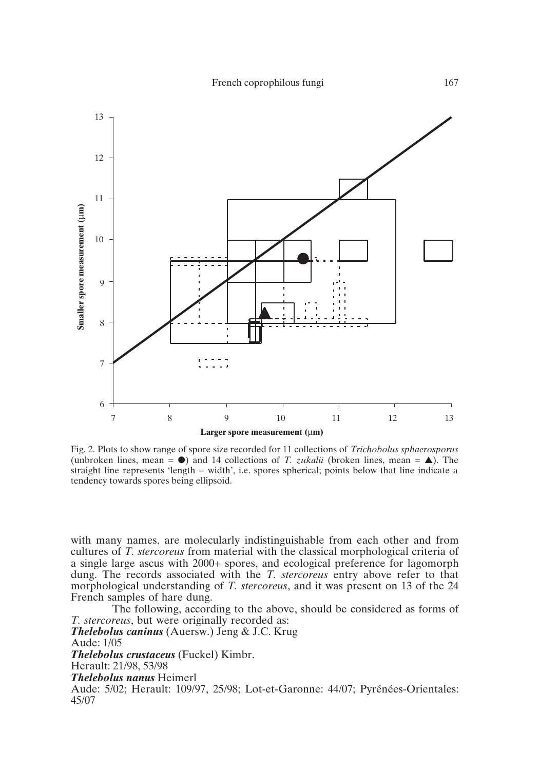

Fig. 2. Plots to show range of spore size recorded for 11 collections of *Trichobolus sphaerosporus* (unbroken lines, mean  $= 0$ ) and 14 collections of *T. zukalii* (broken lines, mean  $= \blacktriangle$ ). The straight line represents 'length = width', i.e. spores spherical; points below that line indicate a tendency towards spores being ellipsoid.

with many names, are molecularly indistinguishable from each other and from cultures of *T. stercoreus* from material with the classical morphological criteria of a single large ascus with 2000+ spores, and ecological preference for lagomorph dung. The records associated with the *T. stercoreus* entry above refer to that morphological understanding of *T. stercoreus*, and it was present on 13 of the 24 French samples of hare dung.

The following, according to the above, should be considered as forms of *T. stercoreus*, but were originally recorded as: *Thelebolus caninus* (Auersw.) Jeng & J.C. Krug Aude: 1/05 *Thelebolus crustaceus* (Fuckel) Kimbr. Herault: 21/98, 53/98 *Thelebolus nanus* Heimerl Aude: 5/02; Herault: 109/97, 25/98; Lot-et-Garonne: 44/07; Pyrénées-Orientales: 45/07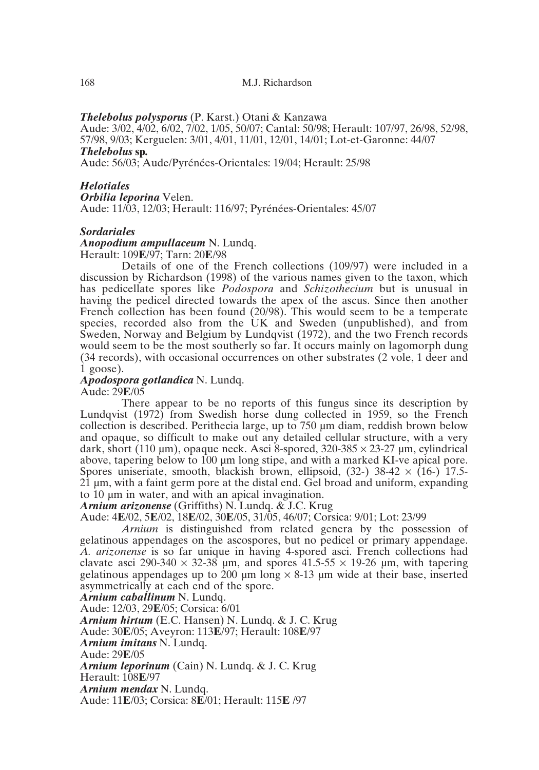# *Thelebolus polysporus* (P. Karst.) Otani & Kanzawa

Aude: 3/02, 4/02, 6/02, 7/02, 1/05, 50/07; Cantal: 50/98; Herault: 107/97, 26/98, 52/98, 57/98, 9/03; Kerguelen: 3/01, 4/01, 11/01, 12/01, 14/01; Lot-et-Garonne: 44/07

# *Thelebolus* **sp***.*

Aude: 56/03; Aude/Pyrénées-Orientales: 19/04; Herault: 25/98

# *Helotiales*

*Orbilia leporina* Velen.

Aude: 11/03, 12/03; Herault: 116/97; Pyrénées-Orientales: 45/07

# *Sordariales*

*Anopodium ampullaceum* N. Lundq.

Herault: 109**E**/97; Tarn: 20**E**/98

Details of one of the French collections (109/97) were included in a discussion by Richardson (1998) of the various names given to the taxon, which has pedicellate spores like *Podospora* and *Schizothecium* but is unusual in having the pedicel directed towards the apex of the ascus. Since then another French collection has been found (20/98). This would seem to be a temperate species, recorded also from the UK and Sweden (unpublished), and from Sweden, Norway and Belgium by Lundqvist (1972), and the two French records would seem to be the most southerly so far. It occurs mainly on lagomorph dung (34 records), with occasional occurrences on other substrates (2 vole, 1 deer and  $1$  goose).

*Apodospora gotlandica* N. Lundq.

Aude: 29**E**/05

There appear to be no reports of this fungus since its description by Lundqvist (1972) from Swedish horse dung collected in 1959, so the French collection is described. Perithecia large, up to 750 µm diam, reddish brown below and opaque, so difficult to make out any detailed cellular structure, with a very dark, short (110 µm), opaque neck. Asci 8-spored,  $320-385 \times 23-27$  µm, cylindrical above, tapering below to 100  $\mu$ m long stipe, and with a marked KI-ve apical pore. Spores uniseriate, smooth, blackish brown, ellipsoid,  $(32-)$  38-42  $\times$  (16-) 17.5-21 µm, with a faint germ pore at the distal end. Gel broad and uniform, expanding to 10 µm in water, and with an apical invagination.

*Arnium arizonense* (Griffiths) N. Lundq. & J.C. Krug

Aude: 4**E**/02, 5**E**/02, 18**E**/02, 30**E**/05, 31/05, 46/07; Corsica: 9/01; Lot: 23/99

*Arnium* is distinguished from related genera by the possession of gelatinous appendages on the ascospores, but no pedicel or primary appendage. *A. arizonense* is so far unique in having 4-spored asci. French collections had clavate asci 290-340  $\times$  32-38 µm, and spores 41.5-55  $\times$  19-26 µm, with tapering gelatinous appendages up to 200  $\mu$ m long  $\times$  8-13  $\mu$ m wide at their base, inserted asymmetrically at each end of the spore.

*Arnium caballinum* N. Lundq.

Aude: 12/03, 29**E**/05; Corsica: 6/01

*Arnium hirtum* (E.C. Hansen) N. Lundq. & J. C. Krug

Aude: 30**E**/05; Aveyron: 113**E**/97; Herault: 108**E**/97

*Arnium imitans* N. Lundq.

Aude: 29**E**/05

*Arnium leporinum* (Cain) N. Lundq. & J. C. Krug

Herault: 108**E**/97

*Arnium mendax* N. Lundq.

Aude: 11**E**/03; Corsica: 8**E**/01; Herault: 115**E** /97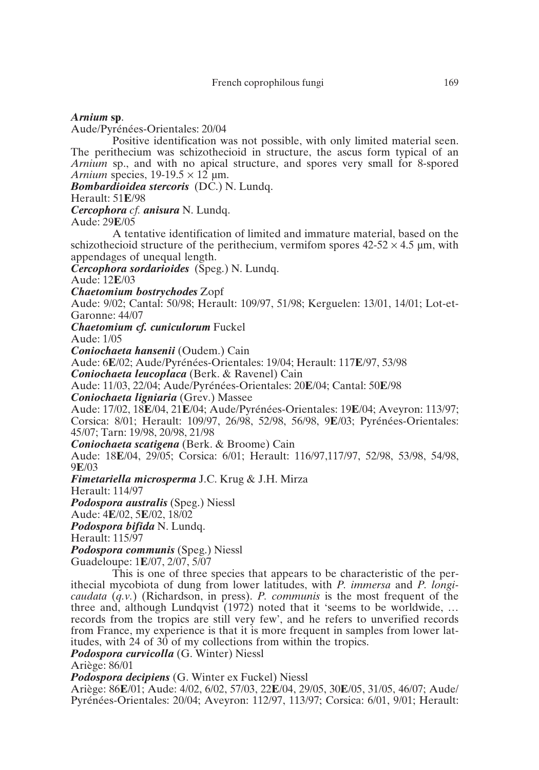# *Arnium* **sp**.

Aude/Pyrénées-Orientales: 20/04

Positive identification was not possible, with only limited material seen. The perithecium was schizothecioid in structure, the ascus form typical of an *Arnium* sp., and with no apical structure, and spores very small for 8-spored *Arnium* species,  $19-19.5 \times 12 \text{ µm}$ .

*Bombardioidea stercoris* (DC.) N. Lundq.

Herault: 51**E**/98

*Cercophora cf. anisura* N. Lundq.

Aude: 29**E**/05

A tentative identification of limited and immature material, based on the schizothecioid structure of the perithecium, vermifom spores  $42-52 \times 4.5$  µm, with appendages of unequal length.

*Cercophora sordarioides* (Speg.) N. Lundq.

Aude: 12**E**/03

*Chaetomium bostrychodes* Zopf

Aude: 9/02; Cantal: 50/98; Herault: 109/97, 51/98; Kerguelen: 13/01, 14/01; Lot-et-Garonne: 44/07

*Chaetomium cf. cuniculorum* Fuckel

Aude: 1/05

*Coniochaeta hansenii* (Oudem.) Cain

Aude: 6**E**/02; Aude/Pyrénées-Orientales: 19/04; Herault: 117**E**/97, 53/98

*Coniochaeta leucoplaca* (Berk. & Ravenel) Cain

Aude: 11/03, 22/04; Aude/Pyrénées-Orientales: 20**E**/04; Cantal: 50**E**/98

*Coniochaeta ligniaria* (Grev.) Massee

Aude: 17/02, 18**E**/04, 21**E**/04; Aude/Pyrénées-Orientales: 19**E**/04; Aveyron: 113/97; Corsica: 8/01; Herault: 109/97, 26/98, 52/98, 56/98, 9**E**/03; Pyrénées-Orientales: 45/07; Tarn: 19/98, 20/98, 21/98

*Coniochaeta scatigena* (Berk. & Broome) Cain

Aude: 18**E**/04, 29/05; Corsica: 6/01; Herault: 116/97,117/97, 52/98, 53/98, 54/98, 9**E**/03

*Fimetariella microsperma* J.C. Krug & J.H. Mirza

Herault: 114/97

*Podospora australis* (Speg.) Niessl

Aude: 4**E**/02, 5**E**/02, 18/02

*Podospora bifida* N. Lundq.

Herault: 115/97

*Podospora communis* (Speg.) Niessl

Guadeloupe: 1**E**/07, 2/07, 5/07

This is one of three species that appears to be characteristic of the perithecial mycobiota of dung from lower latitudes, with *P. immersa* and *P. longicaudata* (*q.v.*) (Richardson, in press). *P. communis* is the most frequent of the three and, although Lundqvist (1972) noted that it 'seems to be worldwide, … records from the tropics are still very few', and he refers to unverified records from France, my experience is that it is more frequent in samples from lower latitudes, with 24 of 30 of my collections from within the tropics.

*Podospora curvicolla* (G. Winter) Niessl

Ariège: 86/01

*Podospora decipiens* (G. Winter ex Fuckel) Niessl

Ariège: 86**E**/01; Aude: 4/02, 6/02, 57/03, 22**E**/04, 29/05, 30**E**/05, 31/05, 46/07; Aude/ Pyrénées-Orientales: 20/04; Aveyron: 112/97, 113/97; Corsica: 6/01, 9/01; Herault: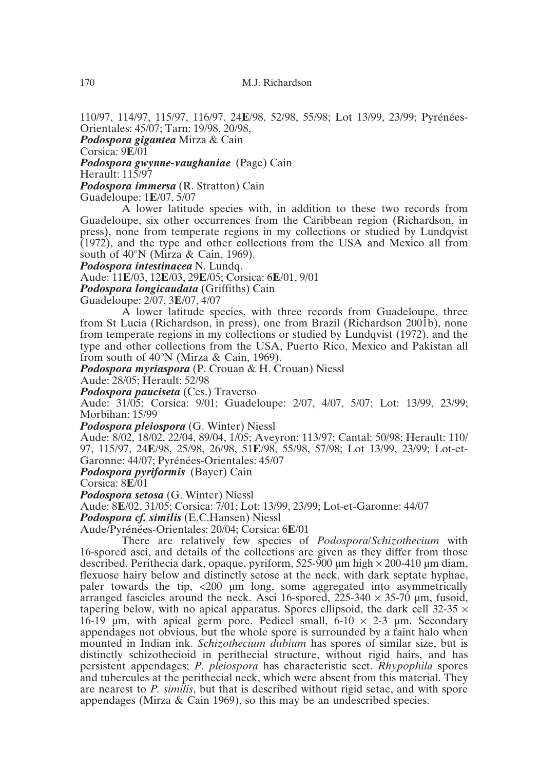110/97, 114/97, 115/97, 116/97, 24**E**/98, 52/98, 55/98; Lot 13/99, 23/99; Pyrénées-Orientales: 45/07; Tarn: 19/98, 20/98,

*Podospora gigantea* Mirza & Cain

Corsica: 9**E**/01

*Podospora gwynne-vaughaniae* (Page) Cain

Herault: 115/97

*Podospora immersa* (R. Stratton) Cain

Guadeloupe: 1**E**/07, 5/07

A lower latitude species with, in addition to these two records from Guadeloupe, six other occurrences from the Caribbean region (Richardson, in press), none from temperate regions in my collections or studied by Lundqvist (1972), and the type and other collections from the USA and Mexico all from south of 40°N (Mirza & Cain, 1969).

*Podospora intestinacea* N. Lundq.

Aude: 11**E**/03, 12**E**/03, 29**E**/05; Corsica: 6**E**/01, 9/01

*Podospora longicaudata* (Griffiths) Cain

Guadeloupe: 2/07, 3**E**/07, 4/07

A lower latitude species, with three records from Guadeloupe, three from St Lucia (Richardson, in press), one from Brazil (Richardson 2001b), none from temperate regions in my collections or studied by Lundqvist (1972), and the type and other collections from the USA, Puerto Rico, Mexico and Pakistan all from south of 40°N (Mirza & Cain, 1969).

*Podospora myriaspora* (P. Crouan & H. Crouan) Niessl

Aude: 28/05; Herault: 52/98

*Podospora pauciseta* (Ces.) Traverso

Aude: 31/05; Corsica: 9/01; Guadeloupe: 2/07, 4/07, 5/07; Lot: 13/99, 23/99; Morbihan: 15/99

*Podospora pleiospora* (G. Winter) Niessl

Aude: 8/02, 18/02, 22/04, 89/04, 1/05; Aveyron: 113/97; Cantal: 50/98; Herault: 110/ 97, 115/97, 24**E**/98, 25/98, 26/98, 51**E**/98, 55/98, 57/98; Lot 13/99, 23/99; Lot-et-Garonne: 44/07; Pyrénées-Orientales: 45/07

*Podospora pyriformis* (Bayer) Cain

Corsica: 8**E**/01

*Podospora setosa* (G. Winter) Niessl

Aude: 8**E**/02, 31/05; Corsica: 7/01; Lot: 13/99, 23/99; Lot-et-Garonne: 44/07

*Podospora cf. similis* (E.C.Hansen) Niessl

Aude/Pyrénées-Orientales: 20/04; Corsica: 6**E**/01

There are relatively few species of *Podospora*/*Schizothecium* with 16-spored asci, and details of the collections are given as they differ from those described. Perithecia dark, opaque, pyriform, 525-900  $\mu$ m high  $\times$  200-410  $\mu$ m diam, flexuose hairy below and distinctly setose at the neck, with dark septate hyphae, paler towards the tip,  $\langle 200 \mu m \rangle$  long, some aggregated into asymmetrically arranged fascicles around the neck. Asci 16-spored,  $225-340 \times 35-70$  µm, fusoid, tapering below, with no apical apparatus. Spores ellipsoid, the dark cell  $32-35 \times$ 16-19  $\mu$ m, with apical germ pore. Pedicel small, 6-10  $\times$  2-3  $\mu$ m. Secondary appendages not obvious, but the whole spore is surrounded by a faint halo when mounted in Indian ink. *Schizothecium dubium* has spores of similar size, but is distinctly schizothecioid in perithecial structure, without rigid hairs, and has persistent appendages; *P. pleiospora* has characteristic sect. *Rhypophila* spores and tubercules at the perithecial neck, which were absent from this material. They are nearest to *P. similis*, but that is described without rigid setae, and with spore appendages (Mirza & Cain 1969), so this may be an undescribed species.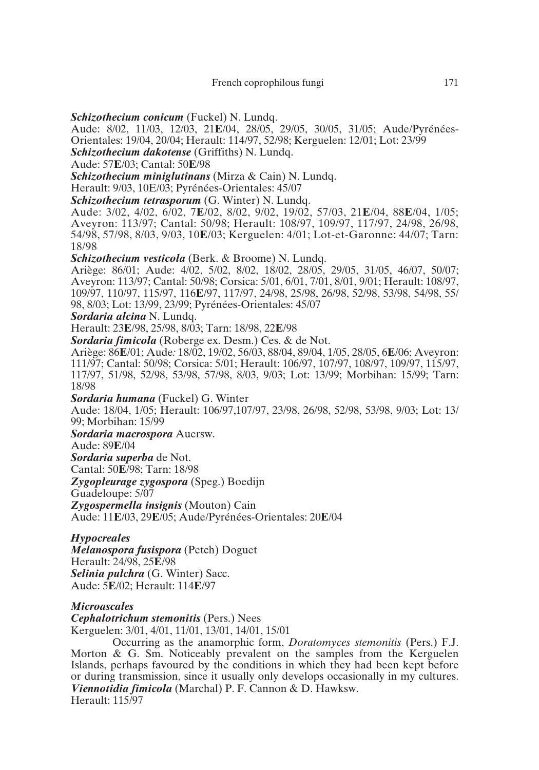*Schizothecium conicum* (Fuckel) N. Lundq.

Aude: 8/02, 11/03, 12/03, 21**E**/04, 28/05, 29/05, 30/05, 31/05; Aude/Pyrénées-Orientales: 19/04, 20/04; Herault: 114/97, 52/98; Kerguelen: 12/01; Lot: 23/99

*Schizothecium dakotense* (Griffiths) N. Lundq.

Aude: 57**E**/03; Cantal: 50**E**/98

*Schizothecium miniglutinans* (Mirza & Cain) N. Lundq.

Herault: 9/03, 10E/03; Pyrénées-Orientales: 45/07

*Schizothecium tetrasporum* (G. Winter) N. Lundq.

Aude: 3/02, 4/02, 6/02, 7**E**/02, 8/02, 9/02, 19/02, 57/03, 21**E**/04, 88**E**/04, 1/05; Aveyron: 113/97; Cantal: 50/98; Herault: 108/97, 109/97, 117/97, 24/98, 26/98, 54/98, 57/98, 8/03, 9/03, 10**E**/03; Kerguelen: 4/01; Lot-et-Garonne: 44/07; Tarn: 18/98

*Schizothecium vesticola* (Berk. & Broome) N. Lundq.

Ariège: 86/01; Aude: 4/02, 5/02, 8/02, 18/02, 28/05, 29/05, 31/05, 46/07, 50/07; Aveyron: 113/97; Cantal: 50/98; Corsica: 5/01, 6/01, 7/01, 8/01, 9/01; Herault: 108/97, 109/97, 110/97, 115/97, 116**E**/97, 117/97, 24/98, 25/98, 26/98, 52/98, 53/98, 54/98, 55/ 98, 8/03; Lot: 13/99, 23/99; Pyrénées-Orientales: 45/07

*Sordaria alcina* N. Lundq.

Herault: 23**E**/98, 25/98, 8/03; Tarn: 18/98, 22**E**/98

*Sordaria fimicola* (Roberge ex. Desm.) Ces. & de Not.

Ariège: 86**E**/01; Aude*:* 18/02, 19/02, 56/03, 88/04, 89/04, 1/05, 28/05, 6**E**/06; Aveyron: 111/97; Cantal: 50/98; Corsica: 5/01; Herault: 106/97, 107/97, 108/97, 109/97, 115/97, 117/97, 51/98, 52/98, 53/98, 57/98, 8/03, 9/03; Lot: 13/99; Morbihan: 15/99; Tarn: 18/98

*Sordaria humana* (Fuckel) G. Winter

Aude: 18/04, 1/05; Herault: 106/97,107/97, 23/98, 26/98, 52/98, 53/98, 9/03; Lot: 13/ 99; Morbihan: 15/99

*Sordaria macrospora* Auersw.

Aude: 89**E**/04

*Sordaria superba* de Not.

Cantal: 50**E**/98; Tarn: 18/98

*Zygopleurage zygospora* (Speg.) Boedijn

Guadeloupe: 5/07

*Zygospermella insignis* (Mouton) Cain

Aude: 11**E**/03, 29**E**/05; Aude/Pyrénées-Orientales: 20**E**/04

# *Hypocreales*

*Melanospora fusispora* (Petch) Doguet Herault: 24/98, 25**E**/98 *Selinia pulchra* (G. Winter) Sacc. Aude: 5**E**/02; Herault: 114**E**/97

# *Microascales*

*Cephalotrichum stemonitis* (Pers.) Nees Kerguelen: 3/01, 4/01, 11/01, 13/01, 14/01, 15/01

Occurring as the anamorphic form, *Doratomyces stemonitis* (Pers.) F.J. Morton & G. Sm. Noticeably prevalent on the samples from the Kerguelen Islands, perhaps favoured by the conditions in which they had been kept before or during transmission, since it usually only develops occasionally in my cultures. *Viennotidia fimicola* (Marchal) P. F. Cannon & D. Hawksw. Herault: 115/97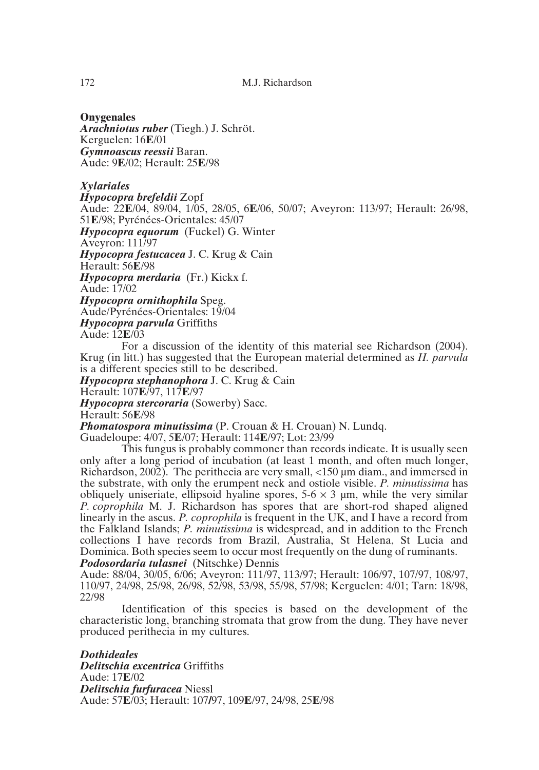# **Onygenales**

*Arachniotus ruber* (Tiegh.) J. Schröt. Kerguelen: 16**E**/01 *Gymnoascus reessii* Baran. Aude: 9**E**/02; Herault: 25**E**/98

# *Xylariales*

*Hypocopra brefeldii* Zopf

Aude: 22**E**/04, 89/04, 1/05, 28/05, 6**E**/06, 50/07; Aveyron: 113/97; Herault: 26/98, 51**E**/98; Pyrénées-Orientales: 45/07

*Hypocopra equorum* (Fuckel) G. Winter

Aveyron: 111/97

*Hypocopra festucacea* J. C. Krug & Cain

Herault: 56**E**/98

*Hypocopra merdaria* (Fr.) Kickx f.

Aude: 17/02

*Hypocopra ornithophila* Speg.

Aude/Pyrénées-Orientales: 19/04

*Hypocopra parvula* Griffiths

Aude: 12**E**/03

For a discussion of the identity of this material see Richardson (2004). Krug (in litt.) has suggested that the European material determined as *H. parvula* is a different species still to be described.

*Hypocopra stephanophora* J. C. Krug & Cain

Herault: 107**E**/97, 117**E**/97

*Hypocopra stercoraria* (Sowerby) Sacc.

Herault: 56**E**/98

*Phomatospora minutissima* (P. Crouan & H. Crouan) N. Lundq.

Guadeloupe: 4/07, 5**E**/07; Herault: 114**E**/97; Lot: 23/99

This fungus is probably commoner than records indicate. It is usually seen only after a long period of incubation (at least 1 month, and often much longer, Richardson, 2002). The perithecia are very small, <150 µm diam., and immersed in the substrate, with only the erumpent neck and ostiole visible. *P. minutissima* has obliquely uniseriate, ellipsoid hyaline spores,  $5-6 \times 3$  µm, while the very similar *P. coprophila* M. J. Richardson has spores that are short-rod shaped aligned linearly in the ascus. *P. coprophila* is frequent in the UK, and I have a record from the Falkland Islands; *P. minutissima* is widespread, and in addition to the French collections I have records from Brazil, Australia, St Helena, St Lucia and Dominica. Both species seem to occur most frequently on the dung of ruminants. *Podosordaria tulasnei* (Nitschke) Dennis

Aude: 88/04, 30/05, 6/06; Aveyron: 111/97, 113/97; Herault: 106/97, 107/97, 108/97, 110/97, 24/98, 25/98, 26/98, 52/98, 53/98, 55/98, 57/98; Kerguelen: 4/01; Tarn: 18/98, 22/98

Identification of this species is based on the development of the characteristic long, branching stromata that grow from the dung. They have never produced perithecia in my cultures.

*Dothideales Delitschia excentrica* Griffiths Aude: 17**E**/02 *Delitschia furfuracea* Niessl Aude: 57**E**/03; Herault: 107**/**97, 109**E**/97, 24/98, 25**E**/98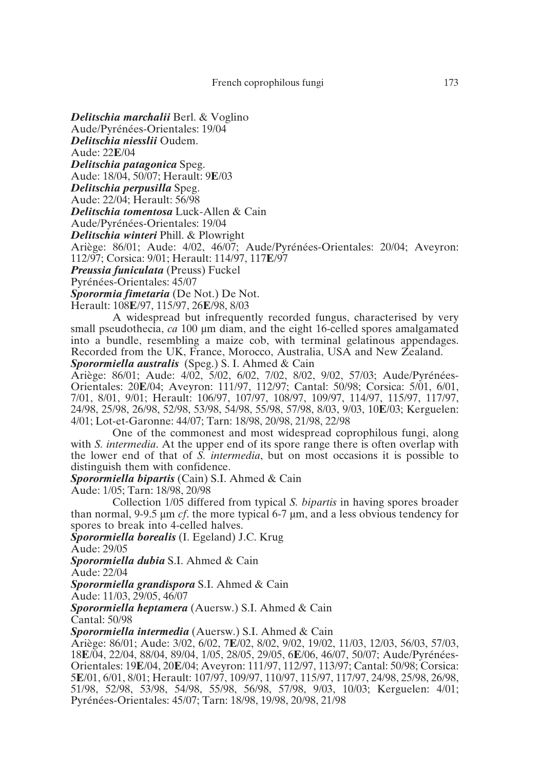*Delitschia marchalii* Berl. & Voglino

Aude/Pyrénées-Orientales: 19/04

*Delitschia niesslii* Oudem.

Aude: 22**E**/04

*Delitschia patagonica* Speg.

Aude: 18/04, 50/07; Herault: 9**E**/03

*Delitschia perpusilla* Speg.

Aude: 22/04; Herault: 56/98

*Delitschia tomentosa* Luck-Allen & Cain

Aude/Pyrénées-Orientales: 19/04

*Delitschia winteri* Phill. & Plowright

Ariège: 86/01; Aude: 4/02, 46/07; Aude/Pyrénées-Orientales: 20/04; Aveyron: 112/97; Corsica: 9/01; Herault: 114/97, 117**E**/97

*Preussia funiculata* (Preuss) Fuckel

Pyrénées-Orientales: 45/07

*Sporormia fimetaria* (De Not.) De Not.

Herault: 108**E**/97, 115/97, 26**E**/98, 8/03

A widespread but infrequently recorded fungus, characterised by very small pseudothecia, *ca* 100 µm diam, and the eight 16-celled spores amalgamated into a bundle, resembling a maize cob, with terminal gelatinous appendages. Recorded from the UK, France, Morocco, Australia, USA and New Zealand. *Sporormiella australis* (Speg.) S. I. Ahmed & Cain

Ariège: 86/01; Aude: 4/02, 5/02, 6/02, 7/02, 8/02, 9/02, 57/03; Aude/Pyrénées-Orientales: 20**E**/04; Aveyron: 111/97, 112/97; Cantal: 50/98; Corsica: 5/01, 6/01, 7/01, 8/01, 9/01; Herault: 106/97, 107/97, 108/97, 109/97, 114/97, 115/97, 117/97,

24/98, 25/98, 26/98, 52/98, 53/98, 54/98, 55/98, 57/98, 8/03, 9/03, 10**E**/03; Kerguelen: 4/01; Lot-et-Garonne: 44/07; Tarn: 18/98, 20/98, 21/98, 22/98 One of the commonest and most widespread coprophilous fungi, along

with *S. intermedia*. At the upper end of its spore range there is often overlap with the lower end of that of *S. intermedia*, but on most occasions it is possible to distinguish them with confidence.

*Sporormiella bipartis* (Cain) S.I. Ahmed & Cain

Aude: 1/05; Tarn: 18/98, 20/98

Collection 1/05 differed from typical *S. bipartis* in having spores broader than normal, 9-9.5 µm *cf*. the more typical 6-7 µm, and a less obvious tendency for spores to break into 4-celled halves.

*Sporormiella borealis* (I. Egeland) J.C. Krug

Aude: 29/05

*Sporormiella dubia* S.I. Ahmed & Cain

Aude: 22/04

*Sporormiella grandispora* S.I. Ahmed & Cain

Aude: 11/03, 29/05, 46/07

*Sporormiella heptamera* (Auersw.) S.I. Ahmed & Cain

Cantal: 50/98

*Sporormiella intermedia* (Auersw.) S.I. Ahmed & Cain

Ariège: 86/01; Aude: 3/02, 6/02, 7**E**/02, 8/02, 9/02, 19/02, 11/03, 12/03, 56/03, 57/03, 18**E**/04, 22/04, 88/04, 89/04, 1/05, 28/05, 29/05, 6**E**/06, 46/07, 50/07; Aude/Pyrénées-Orientales: 19**E**/04, 20**E**/04; Aveyron: 111/97, 112/97, 113/97; Cantal: 50/98; Corsica: 5**E**/01, 6/01, 8/01; Herault: 107/97, 109/97, 110/97, 115/97, 117/97, 24/98, 25/98, 26/98, 51/98, 52/98, 53/98, 54/98, 55/98, 56/98, 57/98, 9/03, 10/03; Kerguelen: 4/01; Pyrénées-Orientales: 45/07; Tarn: 18/98, 19/98, 20/98, 21/98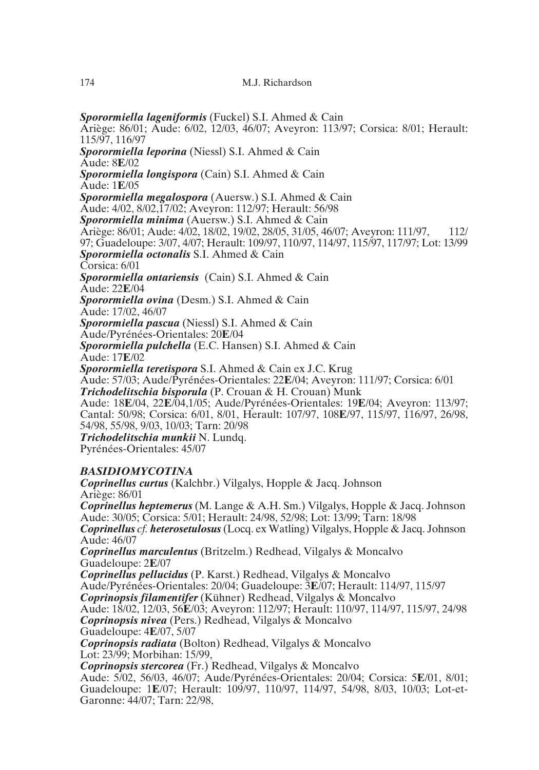*Sporormiella lageniformis* (Fuckel) S.I. Ahmed & Cain

Ariège: 86/01; Aude: 6/02, 12/03, 46/07; Aveyron: 113/97; Corsica: 8/01; Herault: 115/97, 116/97

*Sporormiella leporina* (Niessl) S.I. Ahmed & Cain

Aude: 8**E**/02

*Sporormiella longispora* (Cain) S.I. Ahmed & Cain

Aude: 1**E**/05

*Sporormiella megalospora* (Auersw.) S.I. Ahmed & Cain

Aude: 4/02, 8/02,17/02; Aveyron: 112/97; Herault: 56/98

*Sporormiella minima* (Auersw.) S.I. Ahmed & Cain

Ariège: 86/01; Aude: 4/02, 18/02, 19/02, 28/05, 31/05, 46/07; Aveyron: 111/97, 112/ 97; Guadeloupe: 3/07, 4/07; Herault: 109/97, 110/97, 114/97, 115/97, 117/97; Lot: 13/99

*Sporormiella octonalis* S.I. Ahmed & Cain

Corsica: 6/01

*Sporormiella ontariensis* (Cain) S.I. Ahmed & Cain

Aude: 22**E**/04

*Sporormiella ovina* (Desm.) S.I. Ahmed & Cain

Aude: 17/02, 46/07

*Sporormiella pascua* (Niessl) S.I. Ahmed & Cain

Aude/Pyrénées-Orientales: 20**E**/04

*Sporormiella pulchella* (E.C. Hansen) S.I. Ahmed & Cain

Aude: 17**E**/02

*Sporormiella teretispora* S.I. Ahmed & Cain ex J.C. Krug

Aude: 57/03; Aude/Pyrénées-Orientales: 22**E**/04; Aveyron: 111/97; Corsica: 6/01

*Trichodelitschia bisporula* (P. Crouan & H. Crouan) Munk

Aude: 18**E**/04, 22**E**/04,1/05; Aude/Pyrénées-Orientales: 19**E**/04; Aveyron: 113/97; Cantal: 50/98; Corsica: 6/01, 8/01, Herault: 107/97, 108**E**/97, 115/97, 116/97, 26/98, 54/98, 55/98, 9/03, 10/03; Tarn: 20/98

*Trichodelitschia munkii* N. Lundq.

Pyrénées-Orientales: 45/07

# *BASIDIOMYCOTINA*

*Coprinellus curtus* (Kalchbr.) Vilgalys, Hopple & Jacq. Johnson Ariège: 86/01 *Coprinellus heptemerus* (M. Lange & A.H. Sm.) Vilgalys, Hopple & Jacq. Johnson

Aude: 30/05; Corsica: 5/01; Herault: 24/98, 52/98; Lot: 13/99; Tarn: 18/98 *Coprinellus cf. heterosetulosus*(Locq. ex Watling) Vilgalys, Hopple & Jacq. Johnson Aude: 46/07

*Coprinellus marculentus* (Britzelm.) Redhead, Vilgalys & Moncalvo Guadeloupe: 2**E**/07

*Coprinellus pellucidus* (P. Karst.) Redhead, Vilgalys & Moncalvo Aude/Pyrénées-Orientales: 20/04; Guadeloupe: 3**E**/07; Herault: 114/97, 115/97 *Coprinopsis filamentifer* (Kühner) Redhead, Vilgalys & Moncalvo Aude: 18/02, 12/03, 56**E**/03; Aveyron: 112/97; Herault: 110/97, 114/97, 115/97, 24/98 *Coprinopsis nivea* (Pers.) Redhead, Vilgalys & Moncalvo

Guadeloupe: 4**E**/07, 5/07

*Coprinopsis radiata* (Bolton) Redhead, Vilgalys & Moncalvo Lot: 23/99; Morbihan: 15/99,

*Coprinopsis stercorea* (Fr.) Redhead, Vilgalys & Moncalvo

Aude: 5/02, 56/03, 46/07; Aude/Pyrénées-Orientales: 20/04; Corsica: 5**E**/01, 8/01; Guadeloupe: 1**E**/07; Herault: 109/97, 110/97, 114/97, 54/98, 8/03, 10/03; Lot-et-Garonne: 44/07; Tarn: 22/98,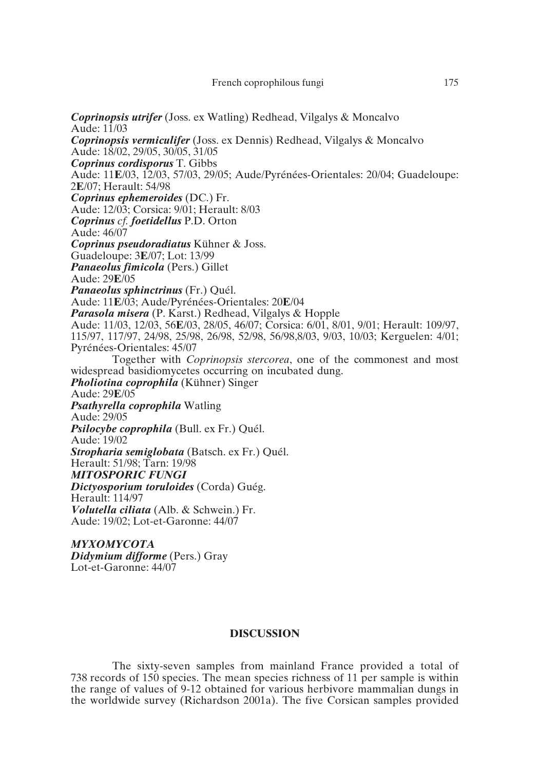*Coprinopsis utrifer* (Joss. ex Watling) Redhead, Vilgalys & Moncalvo Aude: 11/03 *Coprinopsis vermiculifer* (Joss. ex Dennis) Redhead, Vilgalys & Moncalvo Aude: 18/02, 29/05, 30/05, 31/05 *Coprinus cordisporus* T. Gibbs Aude: 11**E**/03, 12/03, 57/03, 29/05; Aude/Pyrénées-Orientales: 20/04; Guadeloupe: 2**E**/07; Herault: 54/98 *Coprinus ephemeroides* (DC.) Fr. Aude: 12/03; Corsica: 9/01; Herault: 8/03 *Coprinus cf. foetidellus* P.D. Orton Aude: 46/07 *Coprinus pseudoradiatus* Kühner & Joss. Guadeloupe: 3**E**/07; Lot: 13/99 *Panaeolus fimicola* (Pers.) Gillet Aude: 29**E**/05 *Panaeolus sphinctrinus* (Fr.) Quél. Aude: 11**E**/03; Aude/Pyrénées-Orientales: 20**E**/04 *Parasola misera* (P. Karst.) Redhead, Vilgalys & Hopple Aude: 11/03, 12/03, 56**E**/03, 28/05, 46/07; Corsica: 6/01, 8/01, 9/01; Herault: 109/97, 115/97, 117/97, 24/98, 25/98, 26/98, 52/98, 56/98,8/03, 9/03, 10/03; Kerguelen: 4/01; Pyrénées-Orientales: 45/07 Together with *Coprinopsis stercorea*, one of the commonest and most widespread basidiomycetes occurring on incubated dung. *Pholiotina coprophila* (Kühner) Singer Aude: 29**E**/05 *Psathyrella coprophila* Watling Aude: 29/05 *Psilocybe coprophila* (Bull. ex Fr.) Quél. Aude: 19/02 *Stropharia semiglobata* (Batsch. ex Fr.) Quél. Herault: 51/98; Tarn: 19/98 *MITOSPORIC FUNGI Dictyosporium toruloides* (Corda) Guég. Herault: 114/97 *Volutella ciliata* (Alb. & Schwein.) Fr. Aude: 19/02; Lot-et-Garonne: 44/07 *MYXOMYCOTA*

*Didymium difforme* (Pers.) Gray Lot-et-Garonne: 44/07

# **DISCUSSION**

The sixty-seven samples from mainland France provided a total of 738 records of 150 species. The mean species richness of 11 per sample is within the range of values of 9-12 obtained for various herbivore mammalian dungs in the worldwide survey (Richardson 2001a). The five Corsican samples provided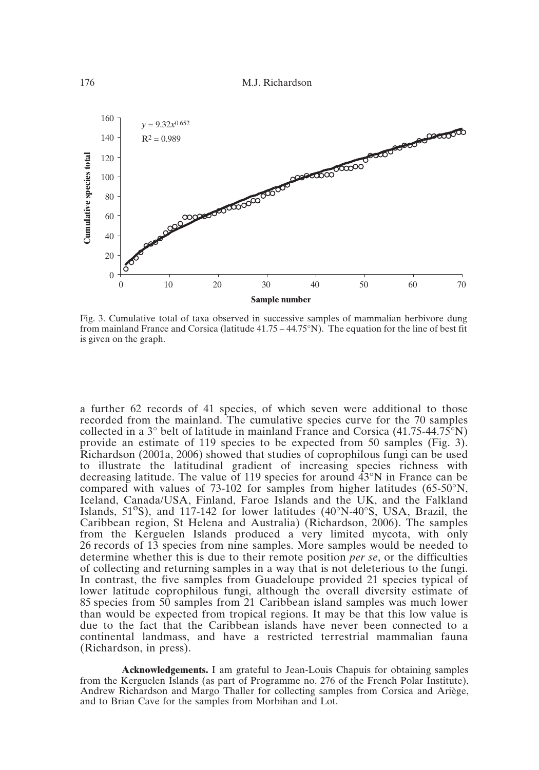

Fig. 3. Cumulative total of taxa observed in successive samples of mammalian herbivore dung from mainland France and Corsica (latitude  $41.75 - 44.75$ °N). The equation for the line of best fit is given on the graph.

a further 62 records of 41 species, of which seven were additional to those recorded from the mainland. The cumulative species curve for the 70 samples collected in a 3° belt of latitude in mainland France and Corsica (41.75-44.75°N) provide an estimate of 119 species to be expected from 50 samples (Fig. 3). Richardson (2001a, 2006) showed that studies of coprophilous fungi can be used to illustrate the latitudinal gradient of increasing species richness with decreasing latitude. The value of 119 species for around 43°N in France can be compared with values of 73-102 for samples from higher latitudes (65-50°N, Iceland, Canada/USA, Finland, Faroe Islands and the UK, and the Falkland Islands, 51°S), and 117-142 for lower latitudes (40°N-40°S, USA, Brazil, the Caribbean region, St Helena and Australia) (Richardson, 2006). The samples from the Kerguelen Islands produced a very limited mycota, with only 26 records of 13 species from nine samples. More samples would be needed to determine whether this is due to their remote position *per se*, or the difficulties of collecting and returning samples in a way that is not deleterious to the fungi. In contrast, the five samples from Guadeloupe provided 21 species typical of lower latitude coprophilous fungi, although the overall diversity estimate of 85 species from 50 samples from 21 Caribbean island samples was much lower than would be expected from tropical regions. It may be that this low value is due to the fact that the Caribbean islands have never been connected to a continental landmass, and have a restricted terrestrial mammalian fauna (Richardson, in press).

**Acknowledgements.** I am grateful to Jean-Louis Chapuis for obtaining samples from the Kerguelen Islands (as part of Programme no. 276 of the French Polar Institute), Andrew Richardson and Margo Thaller for collecting samples from Corsica and Ariège, and to Brian Cave for the samples from Morbihan and Lot.